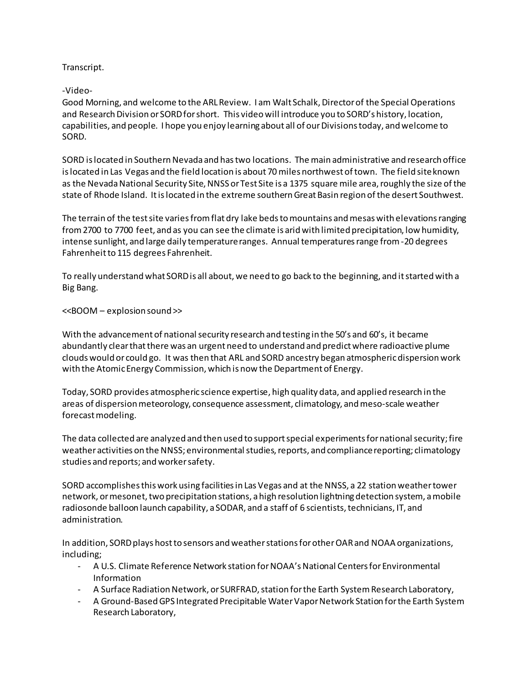Transcript.

-Video-

Good Morning, and welcome to the ARL Review. I am Walt Schalk, Director of the Special Operations and Research Division or SORD for short. This video will introduce you to SORD's history, location, capabilities, and people. I hope you enjoy learning about all of our Divisions today, and welcome to SORD.

SORD is located in Southern Nevada and has two locations. The main administrative and research office islocated in Las Vegas and the field location is about 70 miles northwest of town. The field site known as the Nevada National Security Site, NNSS or Test Site is a 1375 square mile area, roughly the size of the state of Rhode Island. It is located in the extreme southern Great Basin region of the desert Southwest.

The terrain of the test site varies from flat dry lake beds to mountains and mesas with elevations ranging from 2700 to 7700 feet, and as you can see the climate is arid with limited precipitation, low humidity, intense sunlight, and large daily temperature ranges. Annual temperatures range from -20 degrees Fahrenheit to 115 degrees Fahrenheit.

To really understand what SORD is all about, we need to go back to the beginning, and it started with a Big Bang.

<<BOOM – explosion sound >>

With the advancement of national security research and testing in the 50's and 60's, it became abundantly clear that there was an urgent need to understand and predict where radioactive plume clouds would or could go. It was then that ARL and SORD ancestry began atmospheric dispersion work with the Atomic Energy Commission, which is now the Department of Energy.

Today, SORD provides atmospheric science expertise, high quality data, and applied research in the areas of dispersion meteorology, consequence assessment, climatology, and meso-scale weather forecast modeling.

The data collected are analyzed and then used to support special experiments for national security; fire weather activities on the NNSS; environmental studies, reports, and compliance reporting; climatology studies and reports; and worker safety.

SORD accomplishes this work using facilitiesin Las Vegas and at the NNSS, a 22 station weather tower network, or mesonet, two precipitation stations, a high resolution lightning detection system, a mobile radiosonde balloon launch capability, a SODAR, and a staff of 6 scientists, technicians, IT, and administration.

In addition, SORD plays hostto sensors and weather stations for other OAR and NOAA organizations, including;

- A U.S. Climate Reference Network station for NOAA's National Centers for Environmental Information
- A Surface Radiation Network, or SURFRAD, station for the Earth System Research Laboratory,
- A Ground-Based GPS Integrated Precipitable Water Vapor Network Station for the Earth System Research Laboratory,